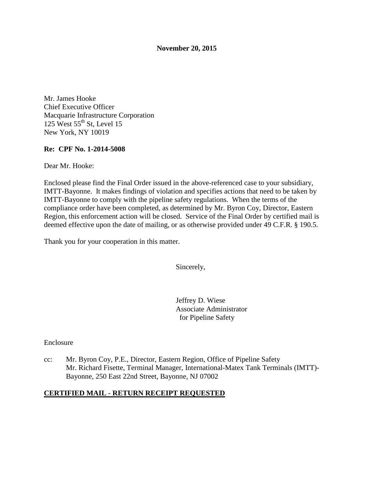#### **November 20, 2015**

Mr. James Hooke Chief Executive Officer Macquarie Infrastructure Corporation 125 West  $55^{\text{th}}$  St, Level 15 New York, NY 10019

### **Re: CPF No. 1-2014-5008**

Dear Mr. Hooke:

Enclosed please find the Final Order issued in the above-referenced case to your subsidiary, IMTT-Bayonne. It makes findings of violation and specifies actions that need to be taken by IMTT-Bayonne to comply with the pipeline safety regulations. When the terms of the compliance order have been completed, as determined by Mr. Byron Coy, Director, Eastern Region, this enforcement action will be closed. Service of the Final Order by certified mail is deemed effective upon the date of mailing, or as otherwise provided under 49 C.F.R. § 190.5.

Thank you for your cooperation in this matter.

Sincerely,

Jeffrey D. Wiese Associate Administrator for Pipeline Safety

#### Enclosure

cc: Mr. Byron Coy, P.E., Director, Eastern Region, Office of Pipeline Safety Mr. Richard Fisette, Terminal Manager, International-Matex Tank Terminals (IMTT)- Bayonne, 250 East 22nd Street, Bayonne, NJ 07002

#### **CERTIFIED MAIL - RETURN RECEIPT REQUESTED**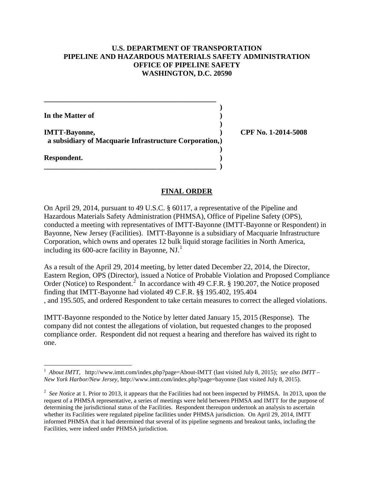## **U.S. DEPARTMENT OF TRANSPORTATION PIPELINE AND HAZARDOUS MATERIALS SAFETY ADMINISTRATION OFFICE OF PIPELINE SAFETY WASHINGTON, D.C. 20590**

| In the Matter of                                                               |         |
|--------------------------------------------------------------------------------|---------|
| <b>IMTT-Bayonne,</b><br>a subsidiary of Macquarie Infrastructure Corporation,) | CPF No. |
| Respondent.                                                                    |         |
|                                                                                |         |

**IMTT-Bayonne, ) CPF No. 1-2014-5008**

### **FINAL ORDER**

On April 29, 2014, pursuant to 49 U.S.C. § 60117, a representative of the Pipeline and Hazardous Materials Safety Administration (PHMSA), Office of Pipeline Safety (OPS), conducted a meeting with representatives of IMTT-Bayonne (IMTT-Bayonne or Respondent) in Bayonne, New Jersey (Facilities). IMTT-Bayonne is a subsidiary of Macquarie Infrastructure Corporation, which owns and operates 12 bulk liquid storage facilities in North America, including its 600-acre facility in Bayonne, NJ.<sup>1</sup>

As a result of the April 29, 2014 meeting, by letter dated December 22, 2014, the Director, Eastern Region, OPS (Director), issued a Notice of Probable Violation and Proposed Compliance Order (Notice) to Respondent.<sup>2</sup> In accordance with 49 C.F.R. § 190.207, the Notice proposed finding that IMTT-Bayonne had violated 49 C.F.R. §§ 195.402, 195.404 , and 195.505, and ordered Respondent to take certain measures to correct the alleged violations.

IMTT-Bayonne responded to the Notice by letter dated January 15, 2015 (Response). The company did not contest the allegations of violation, but requested changes to the proposed compliance order. Respondent did not request a hearing and therefore has waived its right to one.

 $\overline{a}$ 

<sup>&</sup>lt;sup>1</sup> About IMTT, http://www.imtt.com/index.php?page=About-IMTT (last visited July 8, 2015); *see also IMTT* – *New York Harbor/New Jersey*, http://www.imtt.com/index.php?page=bayonne (last visited July 8, 2015).

<sup>&</sup>lt;sup>2</sup> See Notice at 1. Prior to 2013, it appears that the Facilities had not been inspected by PHMSA. In 2013, upon the request of a PHMSA representative, a series of meetings were held between PHMSA and IMTT for the purpose of determining the jurisdictional status of the Facilities. Respondent thereupon undertook an analysis to ascertain whether its Facilities were regulated pipeline facilities under PHMSA jurisdiction. On April 29, 2014, IMTT informed PHMSA that it had determined that several of its pipeline segments and breakout tanks, including the Facilities, were indeed under PHMSA jurisdiction.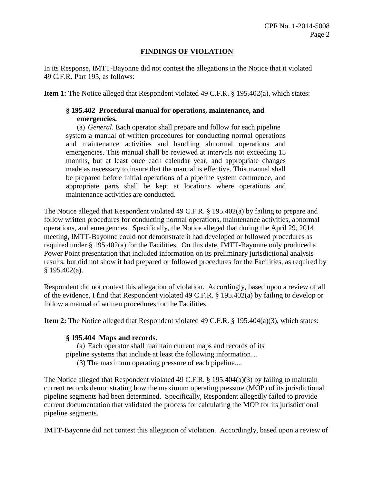# **FINDINGS OF VIOLATION**

In its Response, IMTT-Bayonne did not contest the allegations in the Notice that it violated 49 C.F.R. Part 195, as follows:

**Item 1:** The Notice alleged that Respondent violated 49 C.F.R. § 195.402(a), which states:

# **§ 195.402 Procedural manual for operations, maintenance, and emergencies.**

(a) *General.* Each operator shall prepare and follow for each pipeline system a manual of written procedures for conducting normal operations and maintenance activities and handling abnormal operations and emergencies. This manual shall be reviewed at intervals not exceeding 15 months, but at least once each calendar year, and appropriate changes made as necessary to insure that the manual is effective. This manual shall be prepared before initial operations of a pipeline system commence, and appropriate parts shall be kept at locations where operations and maintenance activities are conducted.

The Notice alleged that Respondent violated 49 C.F.R. § 195.402(a) by failing to prepare and follow written procedures for conducting normal operations, maintenance activities, abnormal operations, and emergencies. Specifically, the Notice alleged that during the April 29, 2014 meeting, IMTT-Bayonne could not demonstrate it had developed or followed procedures as required under § 195.402(a) for the Facilities. On this date, IMTT-Bayonne only produced a Power Point presentation that included information on its preliminary jurisdictional analysis results, but did not show it had prepared or followed procedures for the Facilities, as required by § 195.402(a).

Respondent did not contest this allegation of violation. Accordingly, based upon a review of all of the evidence, I find that Respondent violated 49 C.F.R. § 195.402(a) by failing to develop or follow a manual of written procedures for the Facilities.

**Item 2:** The Notice alleged that Respondent violated 49 C.F.R. § 195.404(a)(3), which states:

### **§ 195.404 Maps and records.**

(a) Each operator shall maintain current maps and records of its

pipeline systems that include at least the following information…

(3) The maximum operating pressure of each pipeline....

The Notice alleged that Respondent violated 49 C.F.R.  $\S$  195.404(a)(3) by failing to maintain current records demonstrating how the maximum operating pressure (MOP) of its jurisdictional pipeline segments had been determined. Specifically, Respondent allegedly failed to provide current documentation that validated the process for calculating the MOP for its jurisdictional pipeline segments.

IMTT-Bayonne did not contest this allegation of violation. Accordingly, based upon a review of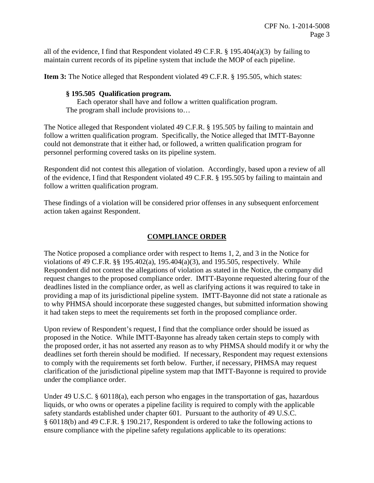all of the evidence, I find that Respondent violated 49 C.F.R. § 195.404(a)(3) by failing to maintain current records of its pipeline system that include the MOP of each pipeline.

**Item 3:** The Notice alleged that Respondent violated 49 C.F.R. § 195.505, which states:

## **§ 195.505 Qualification program.**

Each operator shall have and follow a written qualification program. The program shall include provisions to…

The Notice alleged that Respondent violated 49 C.F.R. § 195.505 by failing to maintain and follow a written qualification program. Specifically, the Notice alleged that IMTT-Bayonne could not demonstrate that it either had, or followed, a written qualification program for personnel performing covered tasks on its pipeline system.

Respondent did not contest this allegation of violation. Accordingly, based upon a review of all of the evidence, I find that Respondent violated 49 C.F.R. § 195.505 by failing to maintain and follow a written qualification program.

These findings of a violation will be considered prior offenses in any subsequent enforcement action taken against Respondent.

# **COMPLIANCE ORDER**

The Notice proposed a compliance order with respect to Items 1, 2, and 3 in the Notice for violations of 49 C.F.R. §§ 195.402(a), 195.404(a)(3), and 195.505, respectively. While Respondent did not contest the allegations of violation as stated in the Notice, the company did request changes to the proposed compliance order. IMTT-Bayonne requested altering four of the deadlines listed in the compliance order, as well as clarifying actions it was required to take in providing a map of its jurisdictional pipeline system. IMTT-Bayonne did not state a rationale as to why PHMSA should incorporate these suggested changes, but submitted information showing it had taken steps to meet the requirements set forth in the proposed compliance order.

Upon review of Respondent's request, I find that the compliance order should be issued as proposed in the Notice. While IMTT-Bayonne has already taken certain steps to comply with the proposed order, it has not asserted any reason as to why PHMSA should modify it or why the deadlines set forth therein should be modified. If necessary, Respondent may request extensions to comply with the requirements set forth below. Further, if necessary, PHMSA may request clarification of the jurisdictional pipeline system map that IMTT-Bayonne is required to provide under the compliance order.

Under 49 U.S.C. § 60118(a), each person who engages in the transportation of gas, hazardous liquids, or who owns or operates a pipeline facility is required to comply with the applicable safety standards established under chapter 601. Pursuant to the authority of 49 U.S.C. § 60118(b) and 49 C.F.R. § 190.217, Respondent is ordered to take the following actions to ensure compliance with the pipeline safety regulations applicable to its operations: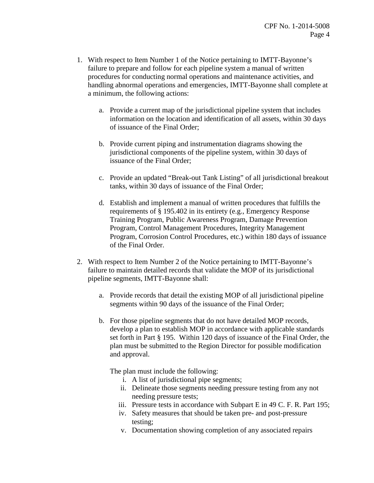- 1. With respect to Item Number 1 of the Notice pertaining to IMTT-Bayonne's failure to prepare and follow for each pipeline system a manual of written procedures for conducting normal operations and maintenance activities, and handling abnormal operations and emergencies, IMTT-Bayonne shall complete at a minimum, the following actions:
	- a. Provide a current map of the jurisdictional pipeline system that includes information on the location and identification of all assets, within 30 days of issuance of the Final Order;
	- b. Provide current piping and instrumentation diagrams showing the jurisdictional components of the pipeline system, within 30 days of issuance of the Final Order;
	- c. Provide an updated "Break-out Tank Listing" of all jurisdictional breakout tanks, within 30 days of issuance of the Final Order;
	- d. Establish and implement a manual of written procedures that fulfills the requirements of § 195.402 in its entirety (e.g., Emergency Response Training Program, Public Awareness Program, Damage Prevention Program, Control Management Procedures, Integrity Management Program, Corrosion Control Procedures, etc.) within 180 days of issuance of the Final Order.
- 2. With respect to Item Number 2 of the Notice pertaining to IMTT-Bayonne's failure to maintain detailed records that validate the MOP of its jurisdictional pipeline segments, IMTT-Bayonne shall:
	- a. Provide records that detail the existing MOP of all jurisdictional pipeline segments within 90 days of the issuance of the Final Order;
	- b. For those pipeline segments that do not have detailed MOP records, develop a plan to establish MOP in accordance with applicable standards set forth in Part § 195. Within 120 days of issuance of the Final Order, the plan must be submitted to the Region Director for possible modification and approval.

The plan must include the following:

- i. A list of jurisdictional pipe segments;
- ii. Delineate those segments needing pressure testing from any not needing pressure tests;
- iii. Pressure tests in accordance with Subpart E in 49 C. F. R. Part 195;
- iv. Safety measures that should be taken pre- and post-pressure testing;
- v. Documentation showing completion of any associated repairs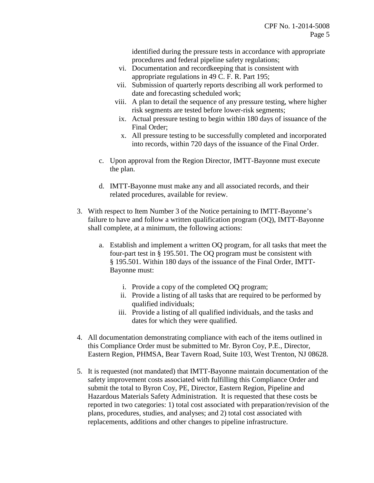identified during the pressure tests in accordance with appropriate procedures and federal pipeline safety regulations;

- vi. Documentation and recordkeeping that is consistent with appropriate regulations in 49 C. F. R. Part 195;
- vii. Submission of quarterly reports describing all work performed to date and forecasting scheduled work;
- viii. A plan to detail the sequence of any pressure testing, where higher risk segments are tested before lower-risk segments;
- ix. Actual pressure testing to begin within 180 days of issuance of the Final Order;
- x. All pressure testing to be successfully completed and incorporated into records, within 720 days of the issuance of the Final Order.
- c. Upon approval from the Region Director, IMTT-Bayonne must execute the plan.
- d. IMTT-Bayonne must make any and all associated records, and their related procedures, available for review.
- 3. With respect to Item Number 3 of the Notice pertaining to IMTT-Bayonne's failure to have and follow a written qualification program (OQ), IMTT-Bayonne shall complete, at a minimum, the following actions:
	- a. Establish and implement a written OQ program, for all tasks that meet the four-part test in § 195.501. The OQ program must be consistent with § 195.501. Within 180 days of the issuance of the Final Order, IMTT-Bayonne must:
		- i. Provide a copy of the completed OQ program;
		- ii. Provide a listing of all tasks that are required to be performed by qualified individuals;
		- iii. Provide a listing of all qualified individuals, and the tasks and dates for which they were qualified.
- 4. All documentation demonstrating compliance with each of the items outlined in this Compliance Order must be submitted to Mr. Byron Coy, P.E., Director, Eastern Region, PHMSA, Bear Tavern Road, Suite 103, West Trenton, NJ 08628.
- 5. It is requested (not mandated) that IMTT-Bayonne maintain documentation of the safety improvement costs associated with fulfilling this Compliance Order and submit the total to Byron Coy, PE, Director, Eastern Region, Pipeline and Hazardous Materials Safety Administration. It is requested that these costs be reported in two categories: 1) total cost associated with preparation/revision of the plans, procedures, studies, and analyses; and 2) total cost associated with replacements, additions and other changes to pipeline infrastructure.